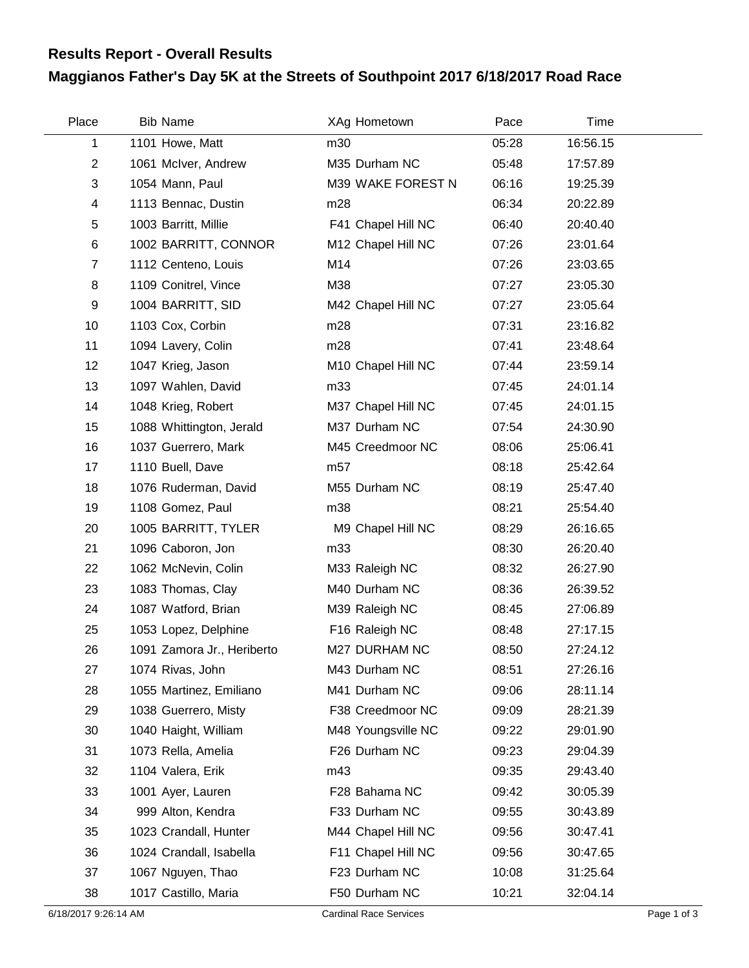## **Results Report - Overall Results**

## **Maggianos Father's Day 5K at the Streets of Southpoint 2017 6/18/2017 Road Race**

| Place          | <b>Bib Name</b>            | XAg Hometown       | Pace  | Time     |  |
|----------------|----------------------------|--------------------|-------|----------|--|
| 1              | 1101 Howe, Matt            | m30                | 05:28 | 16:56.15 |  |
| $\overline{2}$ | 1061 McIver, Andrew        | M35 Durham NC      | 05:48 | 17:57.89 |  |
| 3              | 1054 Mann, Paul            | M39 WAKE FOREST N  | 06:16 | 19:25.39 |  |
| $\overline{4}$ | 1113 Bennac, Dustin        | m28                | 06:34 | 20:22.89 |  |
| 5              | 1003 Barritt, Millie       | F41 Chapel Hill NC | 06:40 | 20:40.40 |  |
| $\,6$          | 1002 BARRITT, CONNOR       | M12 Chapel Hill NC | 07:26 | 23:01.64 |  |
| $\overline{7}$ | 1112 Centeno, Louis        | M14                | 07:26 | 23:03.65 |  |
| 8              | 1109 Conitrel, Vince       | M38                | 07:27 | 23:05.30 |  |
| 9              | 1004 BARRITT, SID          | M42 Chapel Hill NC | 07:27 | 23:05.64 |  |
| 10             | 1103 Cox, Corbin           | m28                | 07:31 | 23:16.82 |  |
| 11             | 1094 Lavery, Colin         | m28                | 07:41 | 23:48.64 |  |
| 12             | 1047 Krieg, Jason          | M10 Chapel Hill NC | 07:44 | 23:59.14 |  |
| 13             | 1097 Wahlen, David         | m33                | 07:45 | 24:01.14 |  |
| 14             | 1048 Krieg, Robert         | M37 Chapel Hill NC | 07:45 | 24:01.15 |  |
| 15             | 1088 Whittington, Jerald   | M37 Durham NC      | 07:54 | 24:30.90 |  |
| 16             | 1037 Guerrero, Mark        | M45 Creedmoor NC   | 08:06 | 25:06.41 |  |
| 17             | 1110 Buell, Dave           | m57                | 08:18 | 25:42.64 |  |
| 18             | 1076 Ruderman, David       | M55 Durham NC      | 08:19 | 25:47.40 |  |
| 19             | 1108 Gomez, Paul           | m38                | 08:21 | 25:54.40 |  |
| 20             | 1005 BARRITT, TYLER        | M9 Chapel Hill NC  | 08:29 | 26:16.65 |  |
| 21             | 1096 Caboron, Jon          | m33                | 08:30 | 26:20.40 |  |
| 22             | 1062 McNevin, Colin        | M33 Raleigh NC     | 08:32 | 26:27.90 |  |
| 23             | 1083 Thomas, Clay          | M40 Durham NC      | 08:36 | 26:39.52 |  |
| 24             | 1087 Watford, Brian        | M39 Raleigh NC     | 08:45 | 27:06.89 |  |
| 25             | 1053 Lopez, Delphine       | F16 Raleigh NC     | 08:48 | 27:17.15 |  |
| 26             | 1091 Zamora Jr., Heriberto | M27 DURHAM NC      | 08:50 | 27:24.12 |  |
| 27             | 1074 Rivas, John           | M43 Durham NC      | 08:51 | 27:26.16 |  |
| 28             | 1055 Martinez, Emiliano    | M41 Durham NC      | 09:06 | 28:11.14 |  |
| 29             | 1038 Guerrero, Misty       | F38 Creedmoor NC   | 09:09 | 28:21.39 |  |
| 30             | 1040 Haight, William       | M48 Youngsville NC | 09:22 | 29:01.90 |  |
| 31             | 1073 Rella, Amelia         | F26 Durham NC      | 09:23 | 29:04.39 |  |
| 32             | 1104 Valera, Erik          | m43                | 09:35 | 29:43.40 |  |
| 33             | 1001 Ayer, Lauren          | F28 Bahama NC      | 09:42 | 30:05.39 |  |
| 34             | 999 Alton, Kendra          | F33 Durham NC      | 09:55 | 30:43.89 |  |
| 35             | 1023 Crandall, Hunter      | M44 Chapel Hill NC | 09:56 | 30:47.41 |  |
| 36             | 1024 Crandall, Isabella    | F11 Chapel Hill NC | 09:56 | 30:47.65 |  |
| 37             | 1067 Nguyen, Thao          | F23 Durham NC      | 10:08 | 31:25.64 |  |
| 38             | 1017 Castillo, Maria       | F50 Durham NC      | 10:21 | 32:04.14 |  |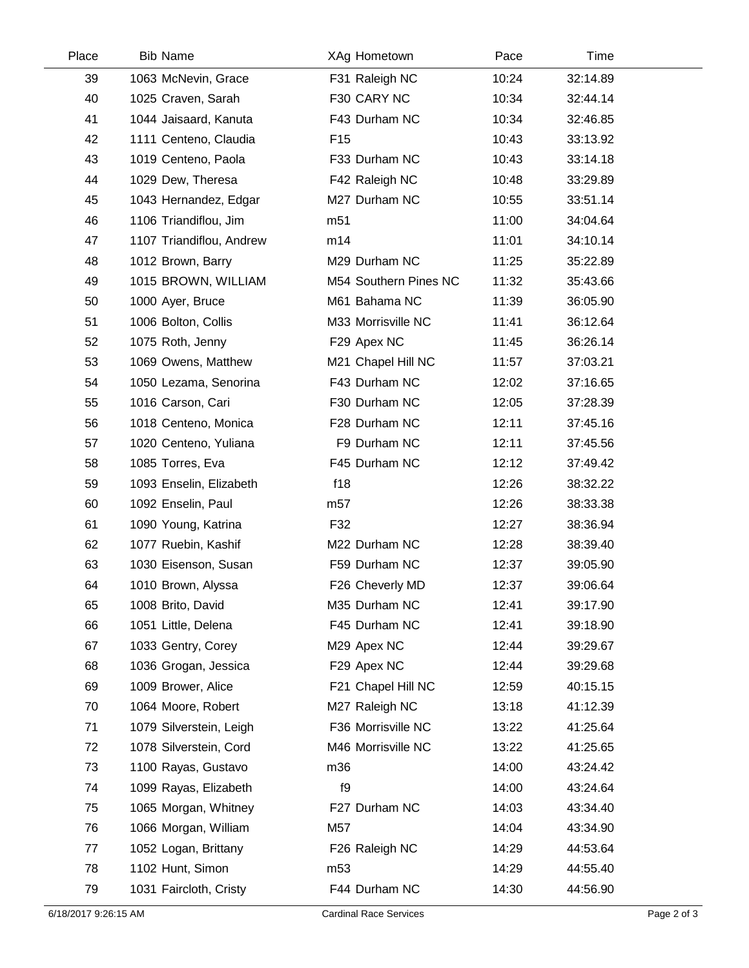| Place | <b>Bib Name</b>          | XAg Hometown          | Pace  | Time     |  |
|-------|--------------------------|-----------------------|-------|----------|--|
| 39    | 1063 McNevin, Grace      | F31 Raleigh NC        | 10:24 | 32:14.89 |  |
| 40    | 1025 Craven, Sarah       | F30 CARY NC           | 10:34 | 32:44.14 |  |
| 41    | 1044 Jaisaard, Kanuta    | F43 Durham NC         | 10:34 | 32:46.85 |  |
| 42    | 1111 Centeno, Claudia    | F <sub>15</sub>       | 10:43 | 33:13.92 |  |
| 43    | 1019 Centeno, Paola      | F33 Durham NC         | 10:43 | 33:14.18 |  |
| 44    | 1029 Dew, Theresa        | F42 Raleigh NC        | 10:48 | 33:29.89 |  |
| 45    | 1043 Hernandez, Edgar    | M27 Durham NC         | 10:55 | 33:51.14 |  |
| 46    | 1106 Triandiflou, Jim    | m <sub>51</sub>       | 11:00 | 34:04.64 |  |
| 47    | 1107 Triandiflou, Andrew | m14                   | 11:01 | 34:10.14 |  |
| 48    | 1012 Brown, Barry        | M29 Durham NC         | 11:25 | 35:22.89 |  |
| 49    | 1015 BROWN, WILLIAM      | M54 Southern Pines NC | 11:32 | 35:43.66 |  |
| 50    | 1000 Ayer, Bruce         | M61 Bahama NC         | 11:39 | 36:05.90 |  |
| 51    | 1006 Bolton, Collis      | M33 Morrisville NC    | 11:41 | 36:12.64 |  |
| 52    | 1075 Roth, Jenny         | F29 Apex NC           | 11:45 | 36:26.14 |  |
| 53    | 1069 Owens, Matthew      | M21 Chapel Hill NC    | 11:57 | 37:03.21 |  |
| 54    | 1050 Lezama, Senorina    | F43 Durham NC         | 12:02 | 37:16.65 |  |
| 55    | 1016 Carson, Cari        | F30 Durham NC         | 12:05 | 37:28.39 |  |
| 56    | 1018 Centeno, Monica     | F28 Durham NC         | 12:11 | 37:45.16 |  |
| 57    | 1020 Centeno, Yuliana    | F9 Durham NC          | 12:11 | 37:45.56 |  |
| 58    | 1085 Torres, Eva         | F45 Durham NC         | 12:12 | 37:49.42 |  |
| 59    | 1093 Enselin, Elizabeth  | f18                   | 12:26 | 38:32.22 |  |
| 60    | 1092 Enselin, Paul       | m <sub>57</sub>       | 12:26 | 38:33.38 |  |
| 61    | 1090 Young, Katrina      | F32                   | 12:27 | 38:36.94 |  |
| 62    | 1077 Ruebin, Kashif      | M22 Durham NC         | 12:28 | 38:39.40 |  |
| 63    | 1030 Eisenson, Susan     | F59 Durham NC         | 12:37 | 39:05.90 |  |
| 64    | 1010 Brown, Alyssa       | F26 Cheverly MD       | 12:37 | 39:06.64 |  |
| 65    | 1008 Brito, David        | M35 Durham NC         | 12:41 | 39:17.90 |  |
| 66    | 1051 Little, Delena      | F45 Durham NC         | 12:41 | 39:18.90 |  |
| 67    | 1033 Gentry, Corey       | M29 Apex NC           | 12:44 | 39:29.67 |  |
| 68    | 1036 Grogan, Jessica     | F29 Apex NC           | 12:44 | 39:29.68 |  |
| 69    | 1009 Brower, Alice       | F21 Chapel Hill NC    | 12:59 | 40:15.15 |  |
| 70    | 1064 Moore, Robert       | M27 Raleigh NC        | 13:18 | 41:12.39 |  |
| 71    | 1079 Silverstein, Leigh  | F36 Morrisville NC    | 13:22 | 41:25.64 |  |
| 72    | 1078 Silverstein, Cord   | M46 Morrisville NC    | 13:22 | 41:25.65 |  |
| 73    | 1100 Rayas, Gustavo      | m36                   | 14:00 | 43:24.42 |  |
| 74    | 1099 Rayas, Elizabeth    | f9                    | 14:00 | 43:24.64 |  |
| 75    | 1065 Morgan, Whitney     | F27 Durham NC         | 14:03 | 43:34.40 |  |
| 76    | 1066 Morgan, William     | M57                   | 14:04 | 43:34.90 |  |
| 77    | 1052 Logan, Brittany     | F26 Raleigh NC        | 14:29 | 44:53.64 |  |
| 78    | 1102 Hunt, Simon         | m <sub>53</sub>       | 14:29 | 44:55.40 |  |
| 79    | 1031 Faircloth, Cristy   | F44 Durham NC         | 14:30 | 44:56.90 |  |